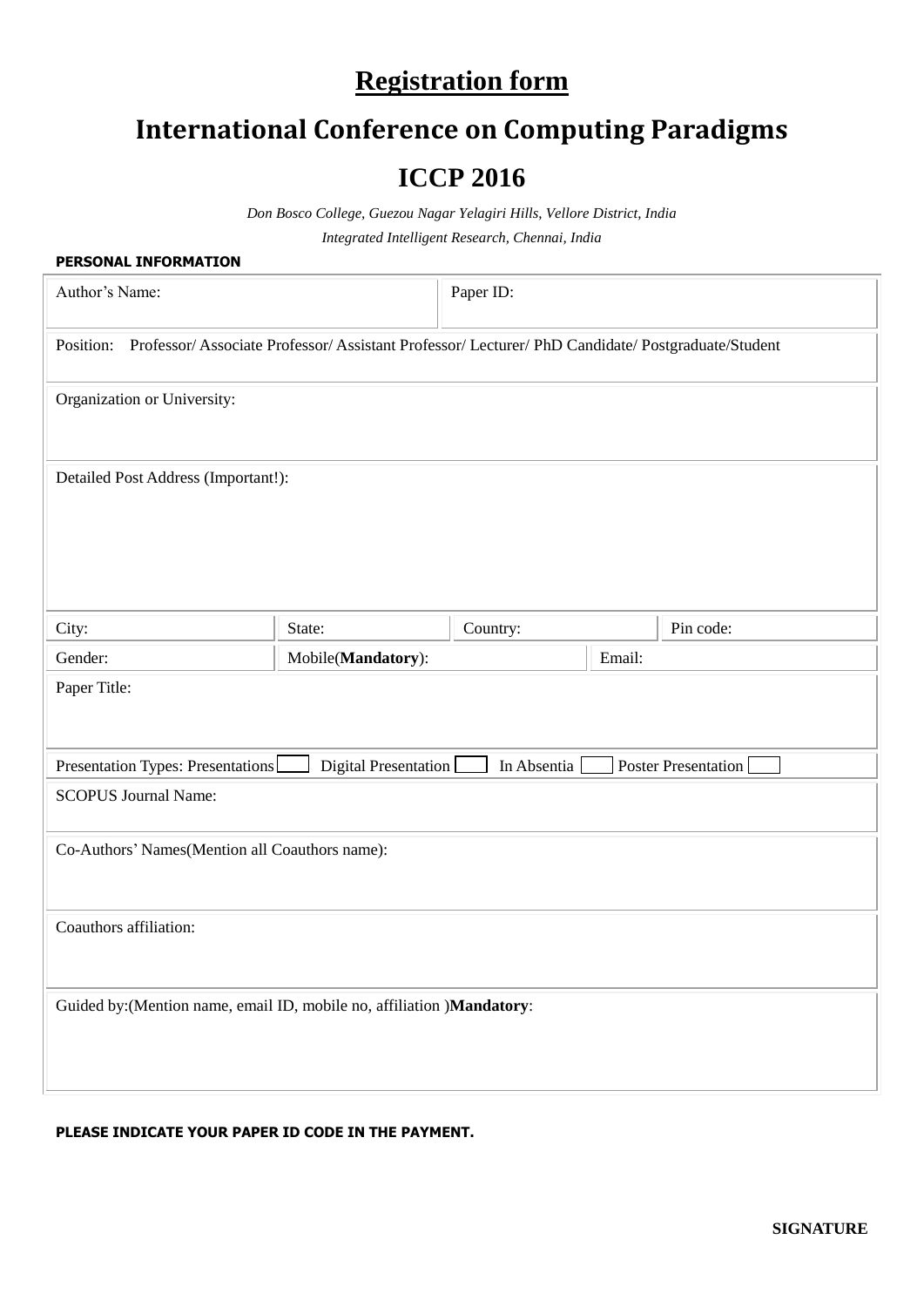## **Registration form**

# **International Conference on Computing Paradigms**

### **ICCP 2016**

*Don Bosco College, Guezou Nagar Yelagiri Hills, Vellore District, India Integrated Intelligent Research, Chennai, India*

| PERSONAL INFORMATION                                                                                       |                    |          |  |           |  |  |  |
|------------------------------------------------------------------------------------------------------------|--------------------|----------|--|-----------|--|--|--|
| Author's Name:                                                                                             | Paper ID:          |          |  |           |  |  |  |
| Professor/Associate Professor/Assistant Professor/Lecturer/PhD Candidate/Postgraduate/Student<br>Position: |                    |          |  |           |  |  |  |
| Organization or University:                                                                                |                    |          |  |           |  |  |  |
| Detailed Post Address (Important!):                                                                        |                    |          |  |           |  |  |  |
| City:                                                                                                      | State:             | Country: |  | Pin code: |  |  |  |
| Gender:                                                                                                    | Mobile(Mandatory): | Email:   |  |           |  |  |  |
| Paper Title:                                                                                               |                    |          |  |           |  |  |  |
| Digital Presentation<br><b>Poster Presentation</b><br>Presentation Types: Presentations<br>In Absentia     |                    |          |  |           |  |  |  |
| <b>SCOPUS Journal Name:</b>                                                                                |                    |          |  |           |  |  |  |
| Co-Authors' Names (Mention all Coauthors name):                                                            |                    |          |  |           |  |  |  |
| Coauthors affiliation:                                                                                     |                    |          |  |           |  |  |  |
| Guided by: (Mention name, email ID, mobile no, affiliation )Mandatory:                                     |                    |          |  |           |  |  |  |

### **PLEASE INDICATE YOUR PAPER ID CODE IN THE PAYMENT.**